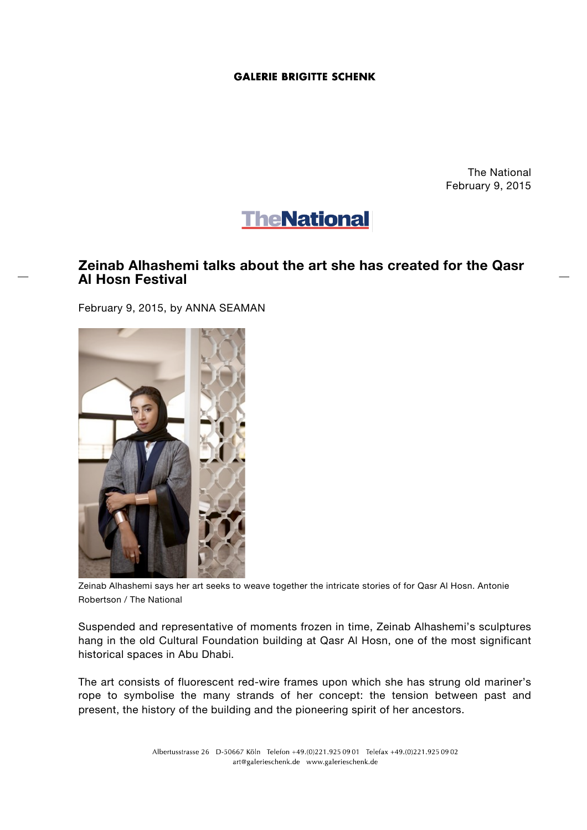## **GALERIE BRIGITTE SCHENK**

The National February 9, 2015



## **Zeinab Alhashemi talks about the art she has created for the Qasr Al Hosn Festival**

February 9, 2015, by ANNA SEAMAN



Zeinab Alhashemi says her art seeks to weave together the intricate stories of for Qasr Al Hosn. Antonie Robertson / The National

Suspended and representative of moments frozen in time, Zeinab Alhashemi's sculptures hang in the old Cultural Foundation building at Qasr Al Hosn, one of the most significant historical spaces in Abu Dhabi.

The art consists of fluorescent red-wire frames upon which she has strung old mariner's rope to symbolise the many strands of her concept: the tension between past and present, the history of the building and the pioneering spirit of her ancestors.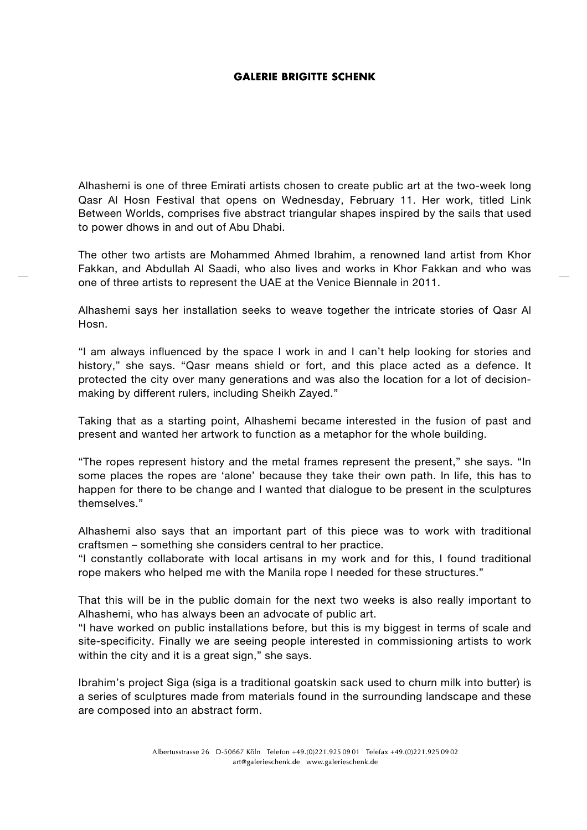## **GALERIE BRIGITTE SCHENK**

Alhashemi is one of three Emirati artists chosen to create public art at the two-week long Qasr Al Hosn Festival that opens on Wednesday, February 11. Her work, titled Link Between Worlds, comprises five abstract triangular shapes inspired by the sails that used to power dhows in and out of Abu Dhabi.

The other two artists are Mohammed Ahmed Ibrahim, a renowned land artist from Khor Fakkan, and Abdullah Al Saadi, who also lives and works in Khor Fakkan and who was one of three artists to represent the UAE at the Venice Biennale in 2011.

Alhashemi says her installation seeks to weave together the intricate stories of Qasr Al Hosn.

"I am always influenced by the space I work in and I can't help looking for stories and history," she says. "Qasr means shield or fort, and this place acted as a defence. It protected the city over many generations and was also the location for a lot of decisionmaking by different rulers, including Sheikh Zayed."

Taking that as a starting point, Alhashemi became interested in the fusion of past and present and wanted her artwork to function as a metaphor for the whole building.

"The ropes represent history and the metal frames represent the present," she says. "In some places the ropes are 'alone' because they take their own path. In life, this has to happen for there to be change and I wanted that dialogue to be present in the sculptures themselves."

Alhashemi also says that an important part of this piece was to work with traditional craftsmen – something she considers central to her practice.

"I constantly collaborate with local artisans in my work and for this, I found traditional rope makers who helped me with the Manila rope I needed for these structures."

That this will be in the public domain for the next two weeks is also really important to Alhashemi, who has always been an advocate of public art.

"I have worked on public installations before, but this is my biggest in terms of scale and site-specificity. Finally we are seeing people interested in commissioning artists to work within the city and it is a great sign," she says.

Ibrahim's project Siga (siga is a traditional goatskin sack used to churn milk into butter) is a series of sculptures made from materials found in the surrounding landscape and these are composed into an abstract form.